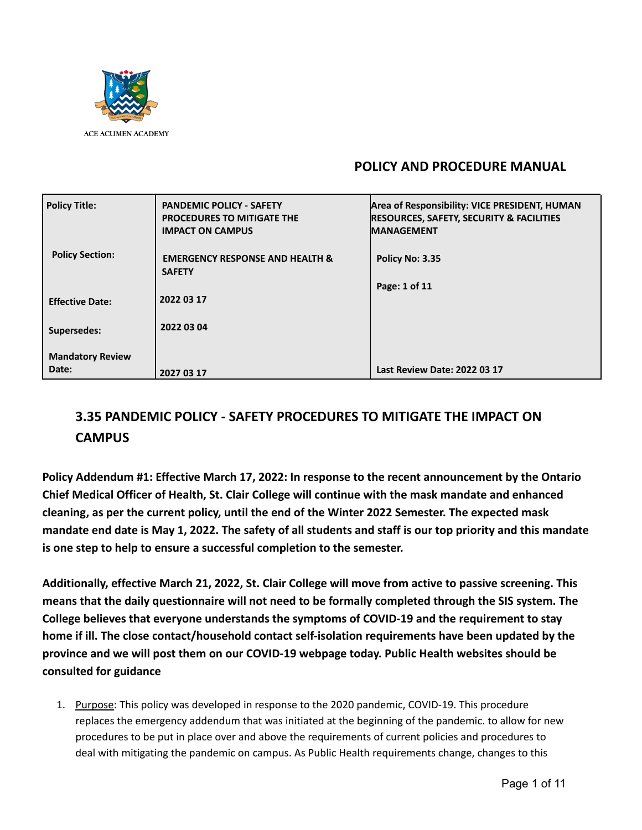

# **POLICY AND PROCEDURE MANUAL**

| <b>RESOURCES, SAFETY, SECURITY &amp; FACILITIES</b> |
|-----------------------------------------------------|
|                                                     |
|                                                     |
|                                                     |
|                                                     |
|                                                     |
|                                                     |
|                                                     |
|                                                     |

# **3.35 PANDEMIC POLICY - SAFETY PROCEDURES TO MITIGATE THE IMPACT ON CAMPUS**

**Policy Addendum #1: Effective March 17, 2022: In response to the recent announcement by the Ontario Chief Medical Officer of Health, St. Clair College will continue with the mask mandate and enhanced cleaning, as per the current policy, until the end of the Winter 2022 Semester. The expected mask mandate end date is May 1, 2022. The safety of all students and staff is our top priority and this mandate is one step to help to ensure a successful completion to the semester.**

**Additionally, effective March 21, 2022, St. Clair College will move from active to passive screening. This means that the daily questionnaire will not need to be formally completed through the SIS system. The College believes that everyone understands the symptoms of COVID-19 and the requirement to stay home if ill. The close contact/household contact self-isolation requirements have been updated by the province and we will post them on our COVID-19 webpage today. Public Health websites should be consulted for guidance**

1. Purpose: This policy was developed in response to the 2020 pandemic, COVID-19. This procedure replaces the emergency addendum that was initiated at the beginning of the pandemic. to allow for new procedures to be put in place over and above the requirements of current policies and procedures to deal with mitigating the pandemic on campus. As Public Health requirements change, changes to this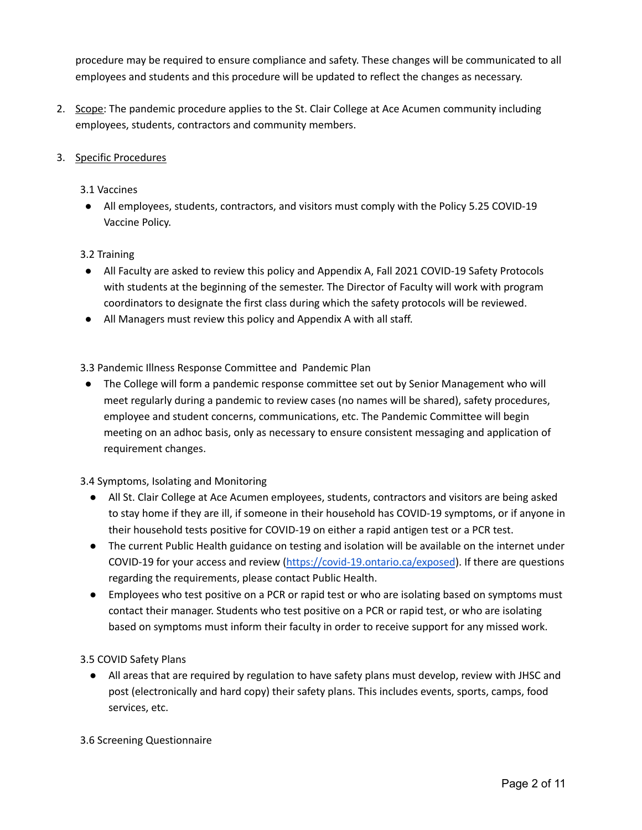procedure may be required to ensure compliance and safety. These changes will be communicated to all employees and students and this procedure will be updated to reflect the changes as necessary.

2. Scope: The pandemic procedure applies to the St. Clair College at Ace Acumen community including employees, students, contractors and community members.

# 3. Specific Procedures

#### 3.1 Vaccines

● All employees, students, contractors, and visitors must comply with the Policy 5.25 COVID-19 Vaccine Policy.

## 3.2 Training

- All Faculty are asked to review this policy and Appendix A, Fall 2021 COVID-19 Safety Protocols with students at the beginning of the semester. The Director of Faculty will work with program coordinators to designate the first class during which the safety protocols will be reviewed.
- All Managers must review this policy and Appendix A with all staff.

3.3 Pandemic Illness Response Committee and Pandemic Plan

● The College will form a pandemic response committee set out by Senior Management who will meet regularly during a pandemic to review cases (no names will be shared), safety procedures, employee and student concerns, communications, etc. The Pandemic Committee will begin meeting on an adhoc basis, only as necessary to ensure consistent messaging and application of requirement changes.

3.4 Symptoms, Isolating and Monitoring

- All St. Clair College at Ace Acumen employees, students, contractors and visitors are being asked to stay home if they are ill, if someone in their household has COVID-19 symptoms, or if anyone in their household tests positive for COVID-19 on either a rapid antigen test or a PCR test.
- The current Public Health guidance on testing and isolation will be available on the internet under COVID-19 for your access and review [\(https://covid-19.ontario.ca/exposed](https://covid-19.ontario.ca/exposed)). If there are questions regarding the requirements, please contact Public Health.
- Employees who test positive on a PCR or rapid test or who are isolating based on symptoms must contact their manager. Students who test positive on a PCR or rapid test, or who are isolating based on symptoms must inform their faculty in order to receive support for any missed work.

3.5 COVID Safety Plans

● All areas that are required by regulation to have safety plans must develop, review with JHSC and post (electronically and hard copy) their safety plans. This includes events, sports, camps, food services, etc.

3.6 Screening Questionnaire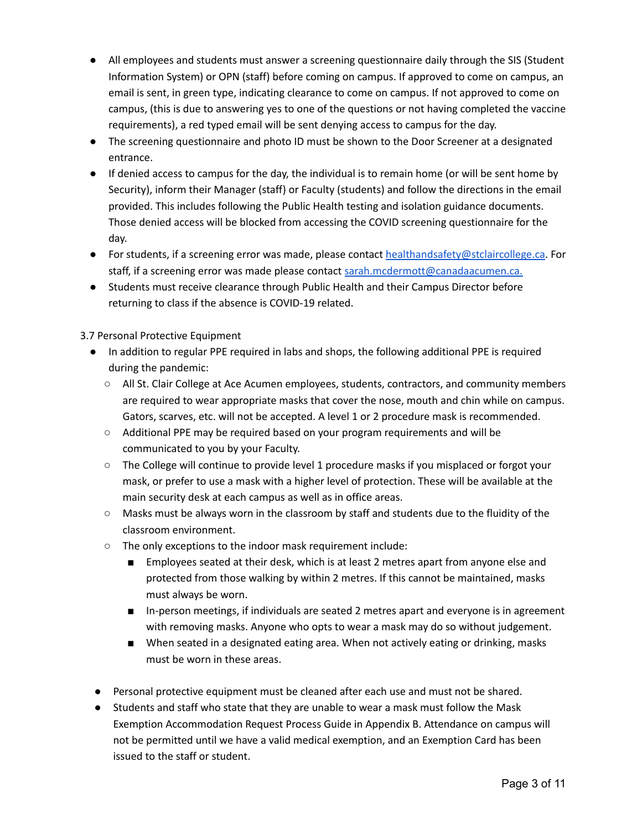- All employees and students must answer a screening questionnaire daily through the SIS (Student Information System) or OPN (staff) before coming on campus. If approved to come on campus, an email is sent, in green type, indicating clearance to come on campus. If not approved to come on campus, (this is due to answering yes to one of the questions or not having completed the vaccine requirements), a red typed email will be sent denying access to campus for the day.
- The screening questionnaire and photo ID must be shown to the Door Screener at a designated entrance.
- If denied access to campus for the day, the individual is to remain home (or will be sent home by Security), inform their Manager (staff) or Faculty (students) and follow the directions in the email provided. This includes following the Public Health testing and isolation guidance documents. Those denied access will be blocked from accessing the COVID screening questionnaire for the day.
- For students, if a screening error was made, please contact [healthandsafety@stclaircollege.ca](mailto:healthandsafety@stclaircollege.ca). For staff, if a screening error was made please contact [sarah.mcdermott@canadaacumen.ca.](mailto:sarah.mcdermott@canadaacumen.ca)
- Students must receive clearance through Public Health and their Campus Director before returning to class if the absence is COVID-19 related.

3.7 Personal Protective Equipment

- In addition to regular PPE required in labs and shops, the following additional PPE is required during the pandemic:
	- All St. Clair College at Ace Acumen employees, students, contractors, and community members are required to wear appropriate masks that cover the nose, mouth and chin while on campus. Gators, scarves, etc. will not be accepted. A level 1 or 2 procedure mask is recommended.
	- Additional PPE may be required based on your program requirements and will be communicated to you by your Faculty.
	- The College will continue to provide level 1 procedure masks if you misplaced or forgot your mask, or prefer to use a mask with a higher level of protection. These will be available at the main security desk at each campus as well as in office areas.
	- Masks must be always worn in the classroom by staff and students due to the fluidity of the classroom environment.
	- The only exceptions to the indoor mask requirement include:
		- Employees seated at their desk, which is at least 2 metres apart from anyone else and protected from those walking by within 2 metres. If this cannot be maintained, masks must always be worn.
		- In-person meetings, if individuals are seated 2 metres apart and everyone is in agreement with removing masks. Anyone who opts to wear a mask may do so without judgement.
		- When seated in a designated eating area. When not actively eating or drinking, masks must be worn in these areas.
- Personal protective equipment must be cleaned after each use and must not be shared.
- Students and staff who state that they are unable to wear a mask must follow the Mask Exemption Accommodation Request Process Guide in Appendix B. Attendance on campus will not be permitted until we have a valid medical exemption, and an Exemption Card has been issued to the staff or student.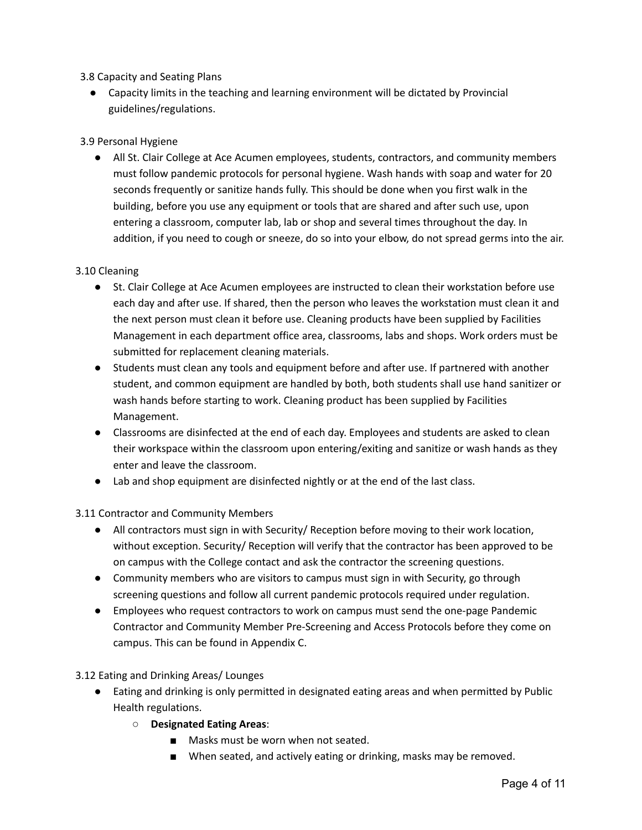3.8 Capacity and Seating Plans

● Capacity limits in the teaching and learning environment will be dictated by Provincial guidelines/regulations.

# 3.9 Personal Hygiene

● All St. Clair College at Ace Acumen employees, students, contractors, and community members must follow pandemic protocols for personal hygiene. Wash hands with soap and water for 20 seconds frequently or sanitize hands fully. This should be done when you first walk in the building, before you use any equipment or tools that are shared and after such use, upon entering a classroom, computer lab, lab or shop and several times throughout the day. In addition, if you need to cough or sneeze, do so into your elbow, do not spread germs into the air.

## 3.10 Cleaning

- St. Clair College at Ace Acumen employees are instructed to clean their workstation before use each day and after use. If shared, then the person who leaves the workstation must clean it and the next person must clean it before use. Cleaning products have been supplied by Facilities Management in each department office area, classrooms, labs and shops. Work orders must be submitted for replacement cleaning materials.
- Students must clean any tools and equipment before and after use. If partnered with another student, and common equipment are handled by both, both students shall use hand sanitizer or wash hands before starting to work. Cleaning product has been supplied by Facilities Management.
- Classrooms are disinfected at the end of each day. Employees and students are asked to clean their workspace within the classroom upon entering/exiting and sanitize or wash hands as they enter and leave the classroom.
- Lab and shop equipment are disinfected nightly or at the end of the last class.

3.11 Contractor and Community Members

- All contractors must sign in with Security/ Reception before moving to their work location, without exception. Security/ Reception will verify that the contractor has been approved to be on campus with the College contact and ask the contractor the screening questions.
- Community members who are visitors to campus must sign in with Security, go through screening questions and follow all current pandemic protocols required under regulation.
- Employees who request contractors to work on campus must send the one-page Pandemic Contractor and Community Member Pre-Screening and Access Protocols before they come on campus. This can be found in Appendix C.

3.12 Eating and Drinking Areas/ Lounges

- Eating and drinking is only permitted in designated eating areas and when permitted by Public Health regulations.
	- **Designated Eating Areas**:
		- Masks must be worn when not seated.
		- When seated, and actively eating or drinking, masks may be removed.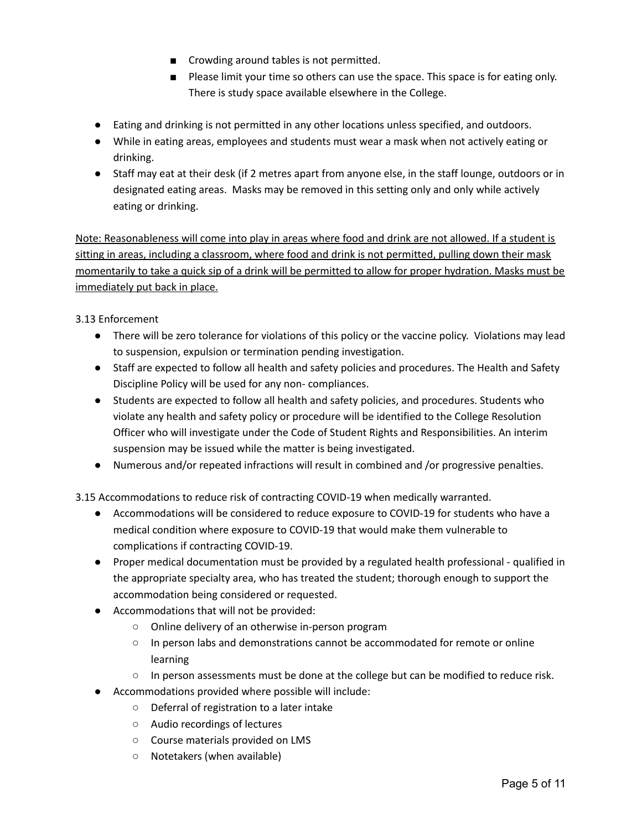- Crowding around tables is not permitted.
- Please limit your time so others can use the space. This space is for eating only. There is study space available elsewhere in the College.
- Eating and drinking is not permitted in any other locations unless specified, and outdoors.
- While in eating areas, employees and students must wear a mask when not actively eating or drinking.
- Staff may eat at their desk (if 2 metres apart from anyone else, in the staff lounge, outdoors or in designated eating areas. Masks may be removed in this setting only and only while actively eating or drinking.

Note: Reasonableness will come into play in areas where food and drink are not allowed. If a student is sitting in areas, including a classroom, where food and drink is not permitted, pulling down their mask momentarily to take a quick sip of a drink will be permitted to allow for proper hydration. Masks must be immediately put back in place.

3.13 Enforcement

- There will be zero tolerance for violations of this policy or the vaccine policy. Violations may lead to suspension, expulsion or termination pending investigation.
- Staff are expected to follow all health and safety policies and procedures. The Health and Safety Discipline Policy will be used for any non- compliances.
- Students are expected to follow all health and safety policies, and procedures. Students who violate any health and safety policy or procedure will be identified to the College Resolution Officer who will investigate under the Code of Student Rights and Responsibilities. An interim suspension may be issued while the matter is being investigated.
- Numerous and/or repeated infractions will result in combined and /or progressive penalties.

3.15 Accommodations to reduce risk of contracting COVID-19 when medically warranted.

- Accommodations will be considered to reduce exposure to COVID-19 for students who have a medical condition where exposure to COVID-19 that would make them vulnerable to complications if contracting COVID-19.
- Proper medical documentation must be provided by a regulated health professional qualified in the appropriate specialty area, who has treated the student; thorough enough to support the accommodation being considered or requested.
- Accommodations that will not be provided:
	- Online delivery of an otherwise in-person program
	- In person labs and demonstrations cannot be accommodated for remote or online learning
	- In person assessments must be done at the college but can be modified to reduce risk.
- Accommodations provided where possible will include:
	- Deferral of registration to a later intake
	- Audio recordings of lectures
	- Course materials provided on LMS
	- Notetakers (when available)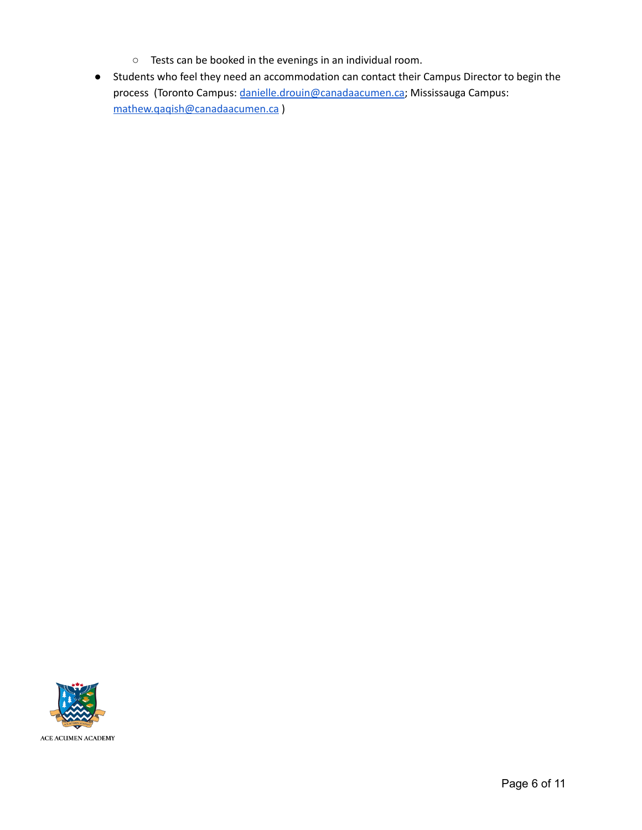- Tests can be booked in the evenings in an individual room.
- Students who feel they need an accommodation can contact their Campus Director to begin the process (Toronto Campus: [danielle.drouin@canadaacumen.ca](mailto:danielle.drouin@canadaacumen.ca); Mississauga Campus: [mathew.qaqish@canadaacumen.ca](mailto:mathew.qaqish@canadaacumen.ca) )

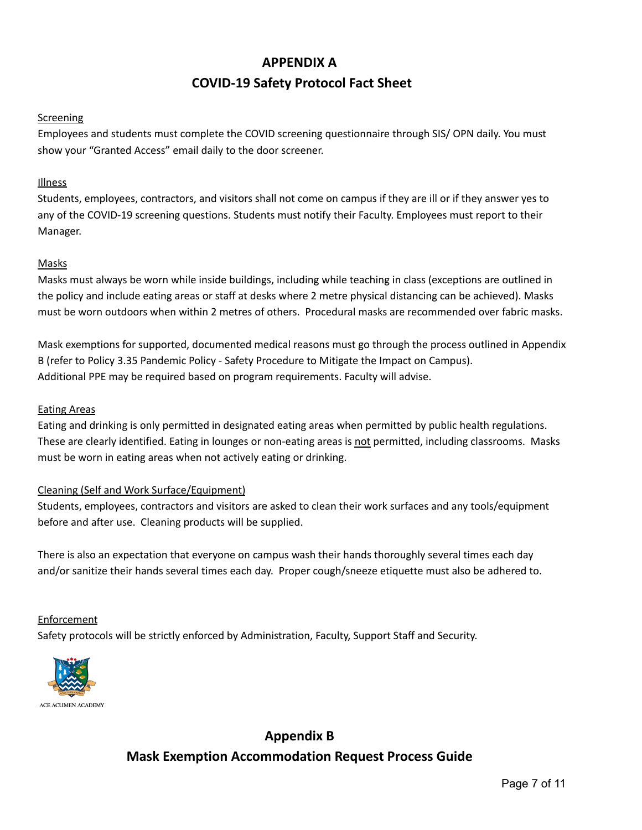# **APPENDIX A COVID-19 Safety Protocol Fact Sheet**

# Screening

Employees and students must complete the COVID screening questionnaire through SIS/ OPN daily. You must show your "Granted Access" email daily to the door screener.

## **Illness**

Students, employees, contractors, and visitors shall not come on campus if they are ill or if they answer yes to any of the COVID-19 screening questions. Students must notify their Faculty. Employees must report to their Manager.

## Masks

Masks must always be worn while inside buildings, including while teaching in class (exceptions are outlined in the policy and include eating areas or staff at desks where 2 metre physical distancing can be achieved). Masks must be worn outdoors when within 2 metres of others. Procedural masks are recommended over fabric masks.

Mask exemptions for supported, documented medical reasons must go through the process outlined in Appendix B (refer to Policy 3.35 Pandemic Policy - Safety Procedure to Mitigate the Impact on Campus). Additional PPE may be required based on program requirements. Faculty will advise.

#### Eating Areas

Eating and drinking is only permitted in designated eating areas when permitted by public health regulations. These are clearly identified. Eating in lounges or non-eating areas is not permitted, including classrooms. Masks must be worn in eating areas when not actively eating or drinking.

#### Cleaning (Self and Work Surface/Equipment)

Students, employees, contractors and visitors are asked to clean their work surfaces and any tools/equipment before and after use. Cleaning products will be supplied.

There is also an expectation that everyone on campus wash their hands thoroughly several times each day and/or sanitize their hands several times each day. Proper cough/sneeze etiquette must also be adhered to.

#### **Enforcement**

Safety protocols will be strictly enforced by Administration, Faculty, Support Staff and Security.



# **Appendix B Mask Exemption Accommodation Request Process Guide**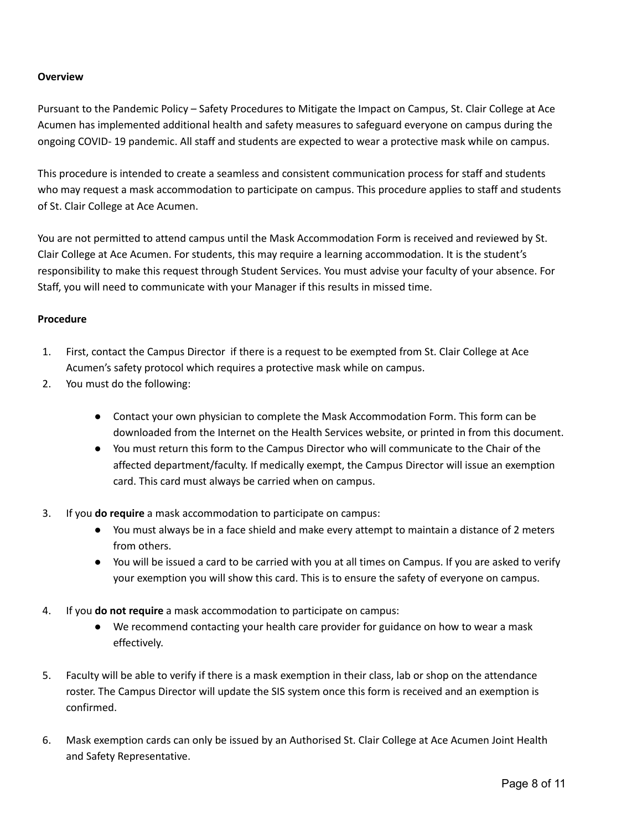#### **Overview**

Pursuant to the Pandemic Policy – Safety Procedures to Mitigate the Impact on Campus, St. Clair College at Ace Acumen has implemented additional health and safety measures to safeguard everyone on campus during the ongoing COVID- 19 pandemic. All staff and students are expected to wear a protective mask while on campus.

This procedure is intended to create a seamless and consistent communication process for staff and students who may request a mask accommodation to participate on campus. This procedure applies to staff and students of St. Clair College at Ace Acumen.

You are not permitted to attend campus until the Mask Accommodation Form is received and reviewed by St. Clair College at Ace Acumen. For students, this may require a learning accommodation. It is the student's responsibility to make this request through Student Services. You must advise your faculty of your absence. For Staff, you will need to communicate with your Manager if this results in missed time.

#### **Procedure**

- 1. First, contact the Campus Director if there is a request to be exempted from St. Clair College at Ace Acumen's safety protocol which requires a protective mask while on campus.
- 2. You must do the following:
	- Contact your own physician to complete the Mask Accommodation Form. This form can be downloaded from the Internet on the Health Services website, or printed in from this document.
	- You must return this form to the Campus Director who will communicate to the Chair of the affected department/faculty. If medically exempt, the Campus Director will issue an exemption card. This card must always be carried when on campus.
- 3. If you **do require** a mask accommodation to participate on campus:
	- You must always be in a face shield and make every attempt to maintain a distance of 2 meters from others.
	- You will be issued a card to be carried with you at all times on Campus. If you are asked to verify your exemption you will show this card. This is to ensure the safety of everyone on campus.
- 4. If you **do not require** a mask accommodation to participate on campus:
	- We recommend contacting your health care provider for guidance on how to wear a mask effectively.
- 5. Faculty will be able to verify if there is a mask exemption in their class, lab or shop on the attendance roster. The Campus Director will update the SIS system once this form is received and an exemption is confirmed.
- 6. Mask exemption cards can only be issued by an Authorised St. Clair College at Ace Acumen Joint Health and Safety Representative.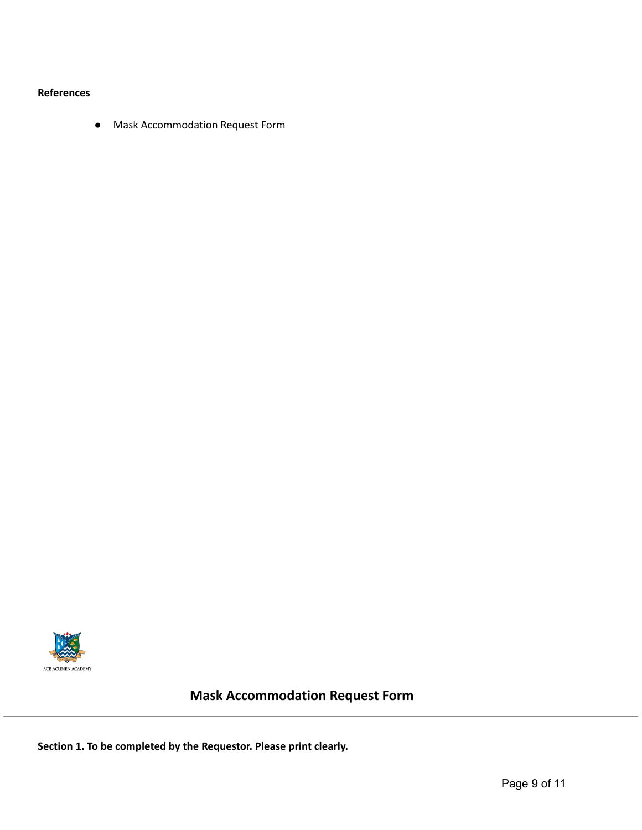#### **References**

● Mask Accommodation Request Form



# **Mask Accommodation Request Form**

**Section 1. To be completed by the Requestor. Please print clearly.**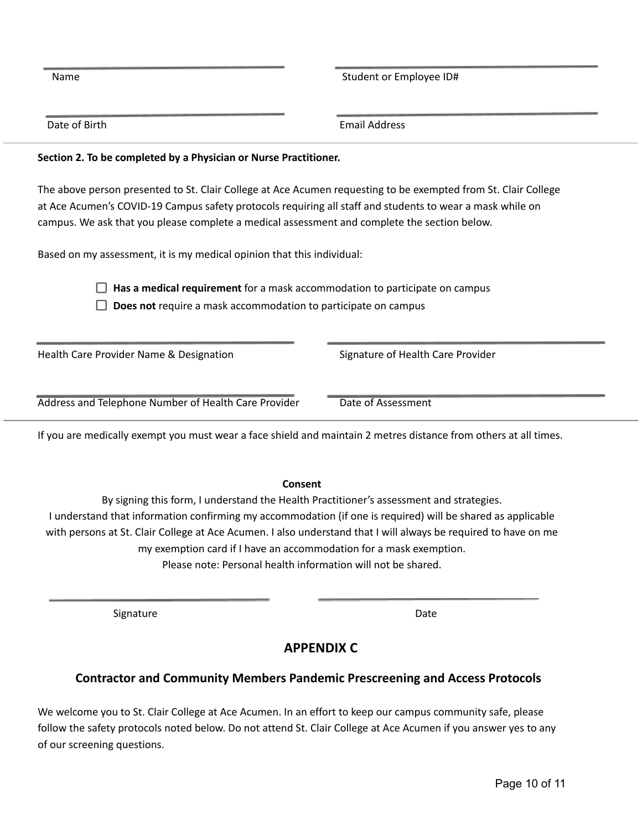Name Student or Employee ID#

Date of Birth **Email Address** 

## **Section 2. To be completed by a Physician or Nurse Practitioner.**

The above person presented to St. Clair College at Ace Acumen requesting to be exempted from St. Clair College at Ace Acumen's COVID-19 Campus safety protocols requiring all staff and students to wear a mask while on campus. We ask that you please complete a medical assessment and complete the section below.

Based on my assessment, it is my medical opinion that this individual:

**Has a medical requirement** for a mask accommodation to participate on campus

**Does not** require a mask accommodation to participate on campus

| Health Care Provider Name & Designation              | Signature of Health Care Provider |
|------------------------------------------------------|-----------------------------------|
|                                                      |                                   |
| Address and Telephone Number of Health Care Provider | Date of Assessment                |
|                                                      |                                   |

If you are medically exempt you must wear a face shield and maintain 2 metres distance from others at all times.

#### **Consent**

By signing this form, I understand the Health Practitioner's assessment and strategies. I understand that information confirming my accommodation (if one is required) will be shared as applicable with persons at St. Clair College at Ace Acumen. I also understand that I will always be required to have on me my exemption card if I have an accommodation for a mask exemption. Please note: Personal health information will not be shared.

Signature Date Date Date Date Date

# **APPENDIX C**

# **Contractor and Community Members Pandemic Prescreening and Access Protocols**

We welcome you to St. Clair College at Ace Acumen. In an effort to keep our campus community safe, please follow the safety protocols noted below. Do not attend St. Clair College at Ace Acumen if you answer yes to any of our screening questions.